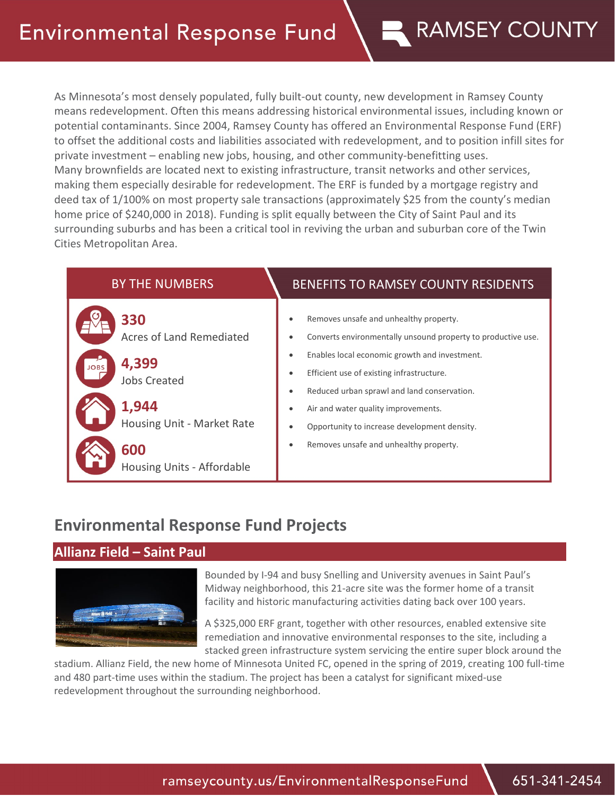## **Environmental Response Fund**

# As Minnesota's most densely populated, fully built-out county, new development in Ramsey County means redevelopment. Often this means addressing historical environmental issues, including known or

**RAMSEY COUNTY** 

potential contaminants. Since 2004, Ramsey County has offered an Environmental Response Fund (ERF) to offset the additional costs and liabilities associated with redevelopment, and to position infill sites for private investment – enabling new jobs, housing, and other community-benefitting uses. Many brownfields are located next to existing infrastructure, transit networks and other services, making them especially desirable for redevelopment. The ERF is funded by a mortgage registry and deed tax of 1/100% on most property sale transactions (approximately \$25 from the county's median home price of \$240,000 in 2018). Funding is split equally between the City of Saint Paul and its surrounding suburbs and has been a critical tool in reviving the urban and suburban core of the Twin Cities Metropolitan Area.



### **Environmental Response Fund Projects**

#### **Allianz Field – Saint Paul**



Bounded by I-94 and busy Snelling and University avenues in Saint Paul's Midway neighborhood, this 21-acre site was the former home of a transit facility and historic manufacturing activities dating back over 100 years.

A \$325,000 ERF grant, together with other resources, enabled extensive site remediation and innovative environmental responses to the site, including a stacked green infrastructure system servicing the entire super block around the

stadium. Allianz Field, the new home of Minnesota United FC, opened in the spring of 2019, creating 100 full-time and 480 part-time uses within the stadium. The project has been a catalyst for significant mixed-use redevelopment throughout the surrounding neighborhood.

ramseycounty.us/EnvironmentalResponseFund

651-341-2454